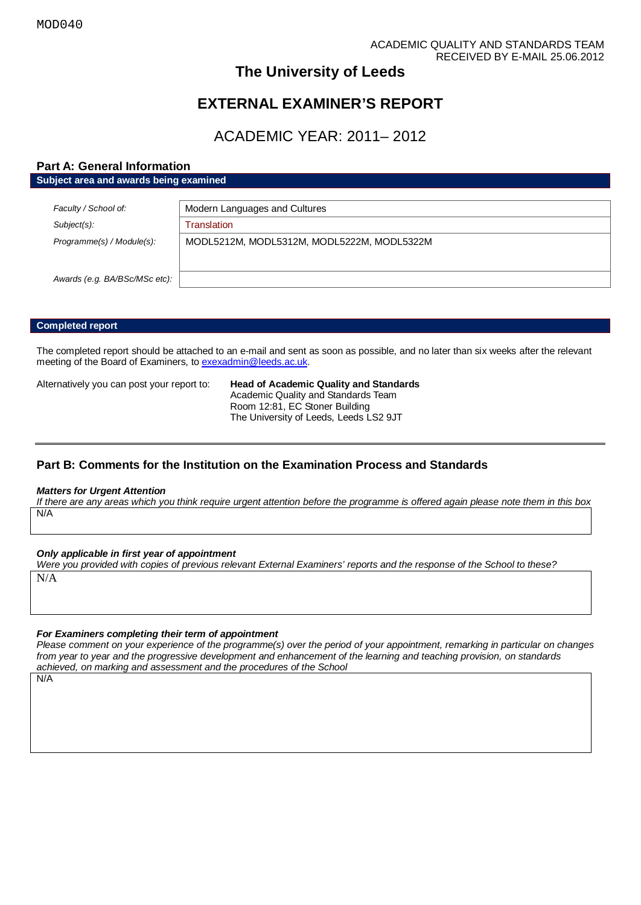# **The University of Leeds**

# **EXTERNAL EXAMINER'S REPORT**

# ACADEMIC YEAR: 2011– 2012

## **Part A: General Information**

| Subject area and awards being examined |                                            |
|----------------------------------------|--------------------------------------------|
|                                        |                                            |
| Faculty / School of:                   | Modern Languages and Cultures              |
| $Subject(s)$ :                         | Translation                                |
| Programme(s) / Module(s):              | MODL5212M, MODL5312M, MODL5222M, MODL5322M |
|                                        |                                            |
| Awards (e.g. BA/BSc/MSc etc):          |                                            |
|                                        |                                            |

## **Completed report**

The completed report should be attached to an e-mail and sent as soon as possible, and no later than six weeks after the relevant meeting of the Board of Examiners, t[o exexadmin@leeds.ac.uk.](mailto:exexadmin@leeds.ac.uk)

Alternatively you can post your report to: **Head of Academic Quality and Standards** Academic Quality and Standards Team Room 12:81, EC Stoner Building The University of Leeds, Leeds LS2 9JT

## **Part B: Comments for the Institution on the Examination Process and Standards**

#### *Matters for Urgent Attention*

*If there are any areas which you think require urgent attention before the programme is offered again please note them in this box* N/A

*Only applicable in first year of appointment*

*Were you provided with copies of previous relevant External Examiners' reports and the response of the School to these?* 

N/A

### *For Examiners completing their term of appointment*

*Please comment on your experience of the programme(s) over the period of your appointment, remarking in particular on changes from year to year and the progressive development and enhancement of the learning and teaching provision, on standards achieved, on marking and assessment and the procedures of the School*

N/A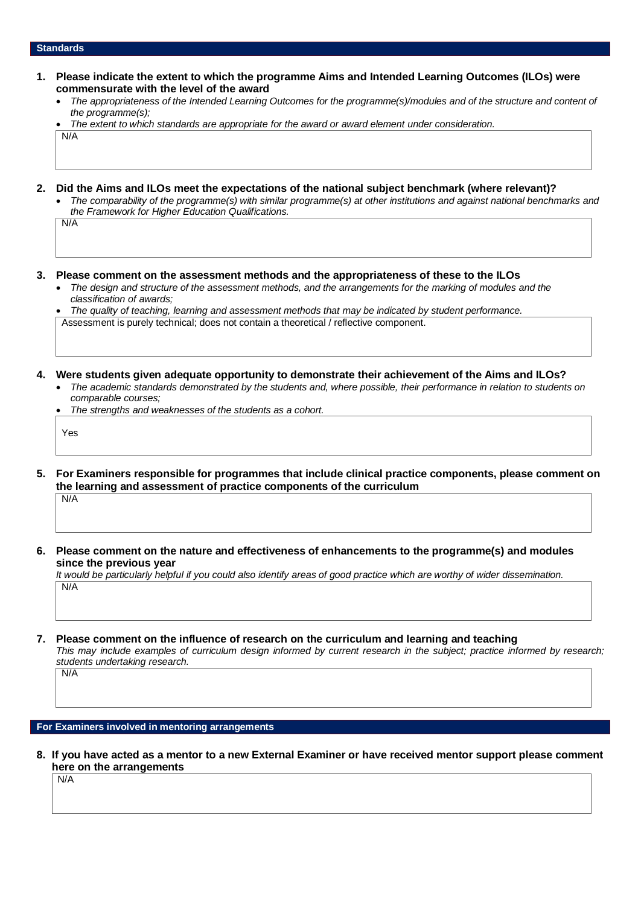### **Standards**

N/A

- **1. Please indicate the extent to which the programme Aims and Intended Learning Outcomes (ILOs) were commensurate with the level of the award**
	- *The appropriateness of the Intended Learning Outcomes for the programme(s)/modules and of the structure and content of the programme(s);*
	- *The extent to which standards are appropriate for the award or award element under consideration.* N/A
- **2. Did the Aims and ILOs meet the expectations of the national subject benchmark (where relevant)?**
	- *The comparability of the programme(s) with similar programme(s) at other institutions and against national benchmarks and the Framework for Higher Education Qualifications.*
- **3. Please comment on the assessment methods and the appropriateness of these to the ILOs**
	- *The design and structure of the assessment methods, and the arrangements for the marking of modules and the classification of awards;*

• *The quality of teaching, learning and assessment methods that may be indicated by student performance.* Assessment is purely technical; does not contain a theoretical / reflective component.

- **4. Were students given adequate opportunity to demonstrate their achievement of the Aims and ILOs?**
	- *The academic standards demonstrated by the students and, where possible, their performance in relation to students on comparable courses;*
	- *The strengths and weaknesses of the students as a cohort.*

Yes

- **5. For Examiners responsible for programmes that include clinical practice components, please comment on the learning and assessment of practice components of the curriculum**  $N/A$
- **6. Please comment on the nature and effectiveness of enhancements to the programme(s) and modules since the previous year**

*It would be particularly helpful if you could also identify areas of good practice which are worthy of wider dissemination.*  N/A

**7. Please comment on the influence of research on the curriculum and learning and teaching**

*This may include examples of curriculum design informed by current research in the subject; practice informed by research; students undertaking research.* 

**For Examiners involved in mentoring arrangements**

**8. If you have acted as a mentor to a new External Examiner or have received mentor support please comment here on the arrangements**

N/A

N/A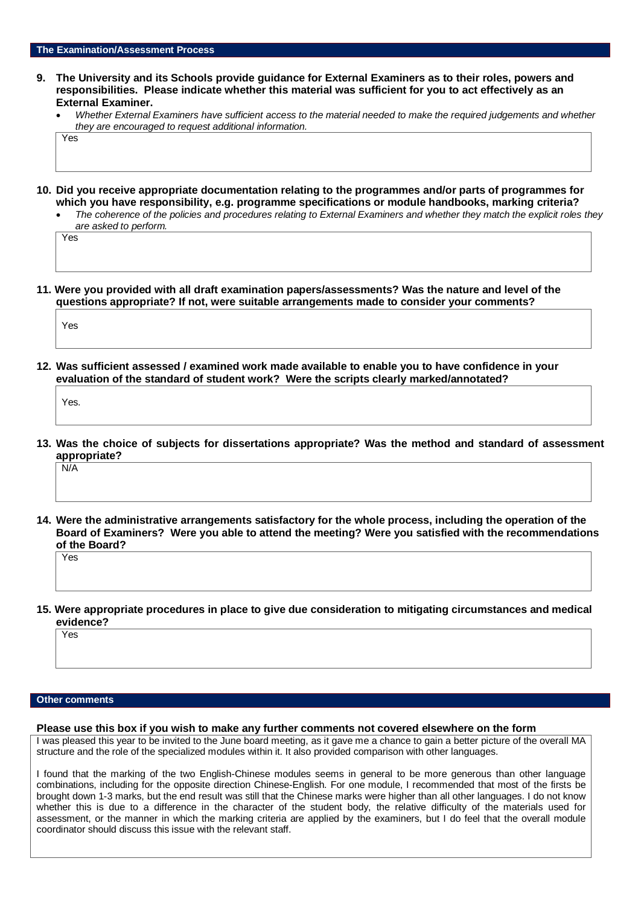- **9. The University and its Schools provide guidance for External Examiners as to their roles, powers and responsibilities. Please indicate whether this material was sufficient for you to act effectively as an External Examiner.**
	- *Whether External Examiners have sufficient access to the material needed to make the required judgements and whether they are encouraged to request additional information.* Yes
- **10. Did you receive appropriate documentation relating to the programmes and/or parts of programmes for which you have responsibility, e.g. programme specifications or module handbooks, marking criteria?**
	- *The coherence of the policies and procedures relating to External Examiners and whether they match the explicit roles they are asked to perform.*

Yes

**11. Were you provided with all draft examination papers/assessments? Was the nature and level of the questions appropriate? If not, were suitable arrangements made to consider your comments?**

Yes

**12. Was sufficient assessed / examined work made available to enable you to have confidence in your evaluation of the standard of student work? Were the scripts clearly marked/annotated?** 

Yes.

**13. Was the choice of subjects for dissertations appropriate? Was the method and standard of assessment appropriate?**

N/A

**14. Were the administrative arrangements satisfactory for the whole process, including the operation of the Board of Examiners? Were you able to attend the meeting? Were you satisfied with the recommendations of the Board?**

Yes

**15. Were appropriate procedures in place to give due consideration to mitigating circumstances and medical evidence?**

Yes

### **Other comments**

#### **Please use this box if you wish to make any further comments not covered elsewhere on the form**

I was pleased this year to be invited to the June board meeting, as it gave me a chance to gain a better picture of the overall MA structure and the role of the specialized modules within it. It also provided comparison with other languages.

I found that the marking of the two English-Chinese modules seems in general to be more generous than other language combinations, including for the opposite direction Chinese-English. For one module, I recommended that most of the firsts be brought down 1-3 marks, but the end result was still that the Chinese marks were higher than all other languages. I do not know whether this is due to a difference in the character of the student body, the relative difficulty of the materials used for assessment, or the manner in which the marking criteria are applied by the examiners, but I do feel that the overall module coordinator should discuss this issue with the relevant staff.